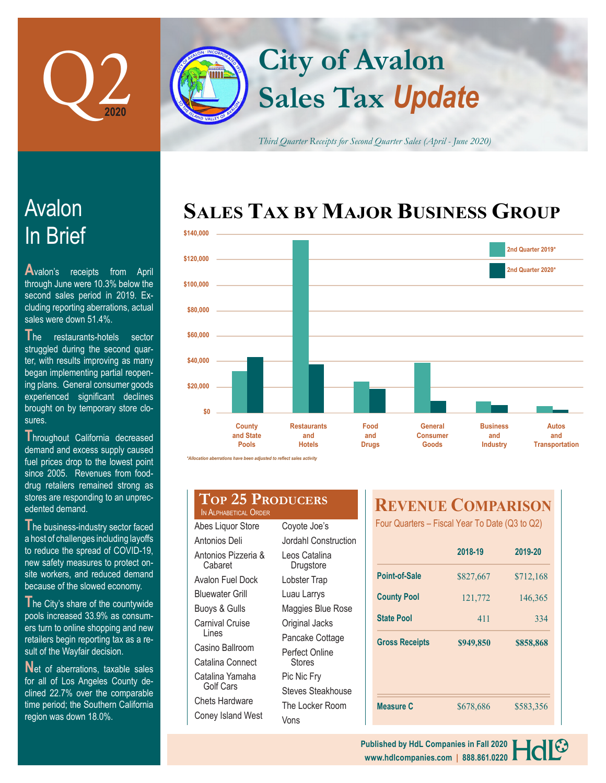

# **Sales Tax** *Update* **City of Avalon**

*Third Quarter Receipts for Second Quarter Sales (April - June 2020)*

## In Brief Avalon

**A**valon's receipts from April through June were 10.3% below the second sales period in 2019. Excluding reporting aberrations, actual sales were down 51.4%.

**T**he restaurants-hotels sector struggled during the second quarter, with results improving as many began implementing partial reopening plans. General consumer goods experienced significant declines brought on by temporary store closures.

**T**hroughout California decreased demand and excess supply caused fuel prices drop to the lowest point since 2005. Revenues from fooddrug retailers remained strong as stores are responding to an unprecedented demand.

The business-industry sector faced a host of challenges including layoffs to reduce the spread of COVID-19, new safety measures to protect onsite workers, and reduced demand because of the slowed economy.

**T**he City's share of the countywide pools increased 33.9% as consumers turn to online shopping and new retailers begin reporting tax as a result of the Wayfair decision.

**Net of aberrations, taxable sales** for all of Los Angeles County declined 22.7% over the comparable time period; the Southern California region was down 18.0%.

### **SALES TAX BY MAJOR BUSINESS GROUP**



#### **Top 25 Producers** IN ALPHABETICAL ORDER

| Abes Liquor Store              |
|--------------------------------|
| Antonios Deli                  |
| Antonios Pizzeria &<br>Cabaret |
| Avalon Fuel Dock               |
| <b>Bluewater Grill</b>         |
| <b>Buoys &amp; Gulls</b>       |
| Carnival Cruise<br>Lines       |
| Casino Ballroom                |
| Catalina Connect               |
| Catalina Yamaha<br>Golf Cars   |
| Chets Hardware                 |
| Coney Island West              |

| Coyote Joe's               |
|----------------------------|
| Jordahl Construction       |
| Leos Catalina<br>Drugstore |
| Lobster Trap               |
| Luau Larrys                |
| Maggies Blue Rose          |
| Original Jacks             |
| Pancake Cottage            |
| Perfect Online<br>Stores   |
| Pic Nic Fry                |
| <b>Steves Steakhouse</b>   |
| The Locker Room            |
| Vons                       |

### **REVENUE COMPARISON**

Four Quarters – Fiscal Year To Date (Q3 to Q2)

|                       | 2018-19   | 2019-20   |
|-----------------------|-----------|-----------|
| Point-of-Sale         | \$827,667 | \$712,168 |
| <b>County Pool</b>    | 121,772   | 146,365   |
| <b>State Pool</b>     | 411       | 334       |
| <b>Gross Receipts</b> | \$949,850 | \$858,868 |
|                       |           |           |
| <b>Measure C</b>      | \$678,686 | \$583,356 |